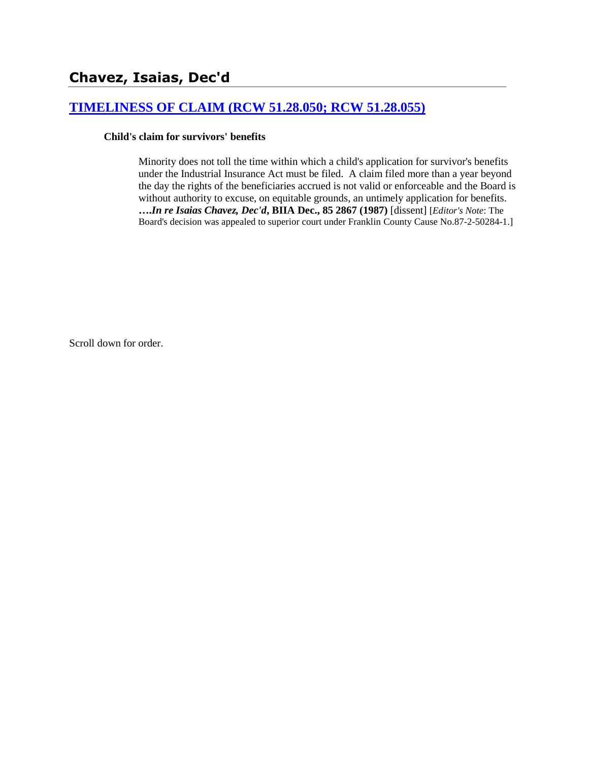# **[TIMELINESS OF CLAIM \(RCW 51.28.050; RCW 51.28.055\)](http://www.biia.wa.gov/SDSubjectIndex.html#TIMELINESS_OF_CLAIM)**

#### **Child's claim for survivors' benefits**

Minority does not toll the time within which a child's application for survivor's benefits under the Industrial Insurance Act must be filed. A claim filed more than a year beyond the day the rights of the beneficiaries accrued is not valid or enforceable and the Board is without authority to excuse, on equitable grounds, an untimely application for benefits. **….***In re Isaias Chavez, Dec'd***, BIIA Dec., 85 2867 (1987)** [dissent] [*Editor's Note*: The Board's decision was appealed to superior court under Franklin County Cause No.87-2-50284-1.]

Scroll down for order.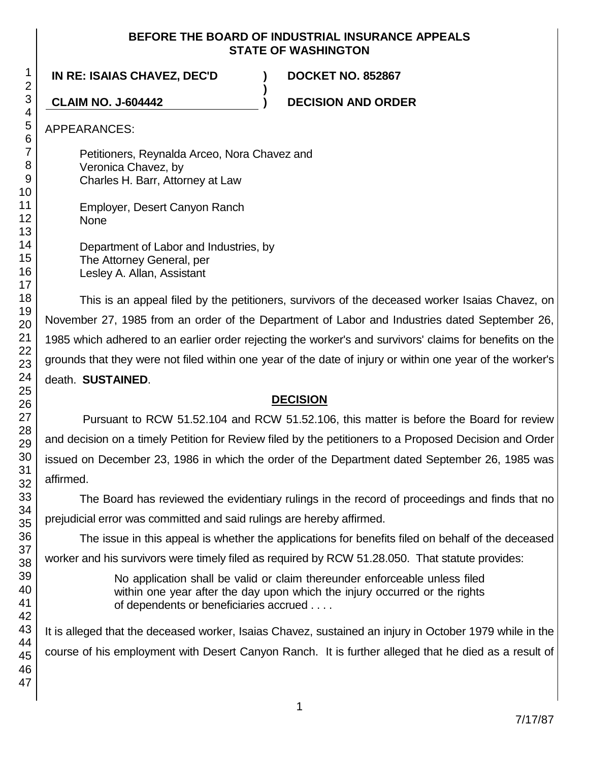#### **BEFORE THE BOARD OF INDUSTRIAL INSURANCE APPEALS STATE OF WASHINGTON**

**)**

**IN RE: ISAIAS CHAVEZ, DEC'D ) DOCKET NO. 852867**

**CLAIM NO. J-604442 ) DECISION AND ORDER**

APPEARANCES:

Petitioners, Reynalda Arceo, Nora Chavez and Veronica Chavez, by Charles H. Barr, Attorney at Law

Employer, Desert Canyon Ranch **None** 

Department of Labor and Industries, by The Attorney General, per Lesley A. Allan, Assistant

This is an appeal filed by the petitioners, survivors of the deceased worker Isaias Chavez, on November 27, 1985 from an order of the Department of Labor and Industries dated September 26, 1985 which adhered to an earlier order rejecting the worker's and survivors' claims for benefits on the grounds that they were not filed within one year of the date of injury or within one year of the worker's death. **SUSTAINED**.

# **DECISION**

Pursuant to RCW 51.52.104 and RCW 51.52.106, this matter is before the Board for review and decision on a timely Petition for Review filed by the petitioners to a Proposed Decision and Order issued on December 23, 1986 in which the order of the Department dated September 26, 1985 was affirmed.

The Board has reviewed the evidentiary rulings in the record of proceedings and finds that no prejudicial error was committed and said rulings are hereby affirmed.

The issue in this appeal is whether the applications for benefits filed on behalf of the deceased worker and his survivors were timely filed as required by RCW 51.28.050. That statute provides:

> No application shall be valid or claim thereunder enforceable unless filed within one year after the day upon which the injury occurred or the rights of dependents or beneficiaries accrued . . . .

It is alleged that the deceased worker, Isaias Chavez, sustained an injury in October 1979 while in the course of his employment with Desert Canyon Ranch. It is further alleged that he died as a result of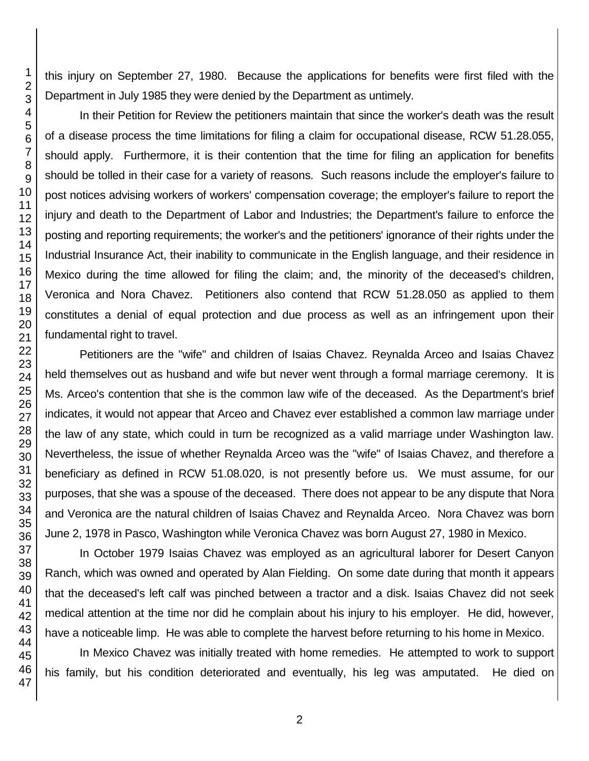this injury on September 27, 1980. Because the applications for benefits were first filed with the Department in July 1985 they were denied by the Department as untimely.

In their Petition for Review the petitioners maintain that since the worker's death was the result of a disease process the time limitations for filing a claim for occupational disease, RCW 51.28.055, should apply. Furthermore, it is their contention that the time for filing an application for benefits should be tolled in their case for a variety of reasons. Such reasons include the employer's failure to post notices advising workers of workers' compensation coverage; the employer's failure to report the injury and death to the Department of Labor and Industries; the Department's failure to enforce the posting and reporting requirements; the worker's and the petitioners' ignorance of their rights under the Industrial Insurance Act, their inability to communicate in the English language, and their residence in Mexico during the time allowed for filing the claim; and, the minority of the deceased's children, Veronica and Nora Chavez. Petitioners also contend that RCW 51.28.050 as applied to them constitutes a denial of equal protection and due process as well as an infringement upon their fundamental right to travel.

Petitioners are the "wife" and children of Isaias Chavez. Reynalda Arceo and Isaias Chavez held themselves out as husband and wife but never went through a formal marriage ceremony. It is Ms. Arceo's contention that she is the common law wife of the deceased. As the Department's brief indicates, it would not appear that Arceo and Chavez ever established a common law marriage under the law of any state, which could in turn be recognized as a valid marriage under Washington law. Nevertheless, the issue of whether Reynalda Arceo was the "wife" of Isaias Chavez, and therefore a beneficiary as defined in RCW 51.08.020, is not presently before us. We must assume, for our purposes, that she was a spouse of the deceased. There does not appear to be any dispute that Nora and Veronica are the natural children of Isaias Chavez and Reynalda Arceo. Nora Chavez was born June 2, 1978 in Pasco, Washington while Veronica Chavez was born August 27, 1980 in Mexico.

In October 1979 Isaias Chavez was employed as an agricultural laborer for Desert Canyon Ranch, which was owned and operated by Alan Fielding. On some date during that month it appears that the deceased's left calf was pinched between a tractor and a disk. Isaias Chavez did not seek medical attention at the time nor did he complain about his injury to his employer. He did, however, have a noticeable limp. He was able to complete the harvest before returning to his home in Mexico.

In Mexico Chavez was initially treated with home remedies. He attempted to work to support his family, but his condition deteriorated and eventually, his leg was amputated. He died on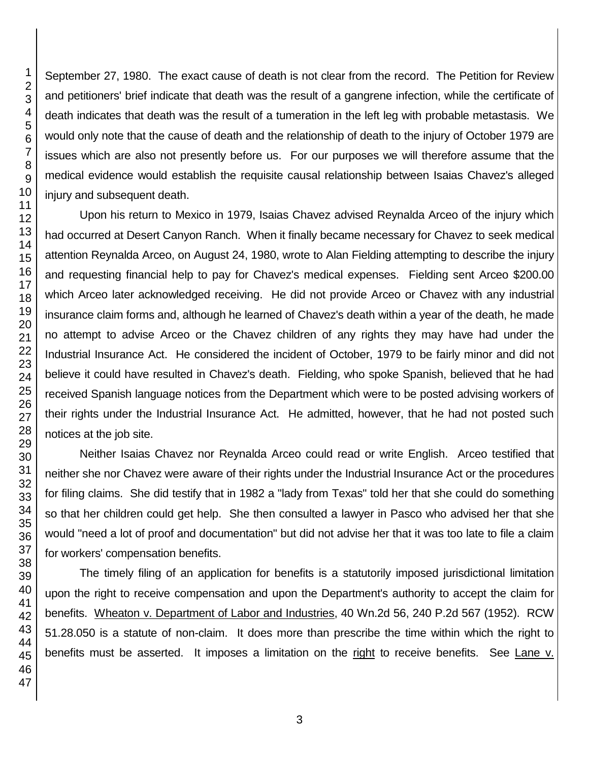September 27, 1980. The exact cause of death is not clear from the record. The Petition for Review and petitioners' brief indicate that death was the result of a gangrene infection, while the certificate of death indicates that death was the result of a tumeration in the left leg with probable metastasis. We would only note that the cause of death and the relationship of death to the injury of October 1979 are issues which are also not presently before us. For our purposes we will therefore assume that the medical evidence would establish the requisite causal relationship between Isaias Chavez's alleged injury and subsequent death.

Upon his return to Mexico in 1979, Isaias Chavez advised Reynalda Arceo of the injury which had occurred at Desert Canyon Ranch. When it finally became necessary for Chavez to seek medical attention Reynalda Arceo, on August 24, 1980, wrote to Alan Fielding attempting to describe the injury and requesting financial help to pay for Chavez's medical expenses. Fielding sent Arceo \$200.00 which Arceo later acknowledged receiving. He did not provide Arceo or Chavez with any industrial insurance claim forms and, although he learned of Chavez's death within a year of the death, he made no attempt to advise Arceo or the Chavez children of any rights they may have had under the Industrial Insurance Act. He considered the incident of October, 1979 to be fairly minor and did not believe it could have resulted in Chavez's death. Fielding, who spoke Spanish, believed that he had received Spanish language notices from the Department which were to be posted advising workers of their rights under the Industrial Insurance Act. He admitted, however, that he had not posted such notices at the job site.

Neither Isaias Chavez nor Reynalda Arceo could read or write English. Arceo testified that neither she nor Chavez were aware of their rights under the Industrial Insurance Act or the procedures for filing claims. She did testify that in 1982 a "lady from Texas" told her that she could do something so that her children could get help. She then consulted a lawyer in Pasco who advised her that she would "need a lot of proof and documentation" but did not advise her that it was too late to file a claim for workers' compensation benefits.

The timely filing of an application for benefits is a statutorily imposed jurisdictional limitation upon the right to receive compensation and upon the Department's authority to accept the claim for benefits. Wheaton v. Department of Labor and Industries, 40 Wn.2d 56, 240 P.2d 567 (1952). RCW 51.28.050 is a statute of non-claim. It does more than prescribe the time within which the right to benefits must be asserted. It imposes a limitation on the right to receive benefits. See Lane v.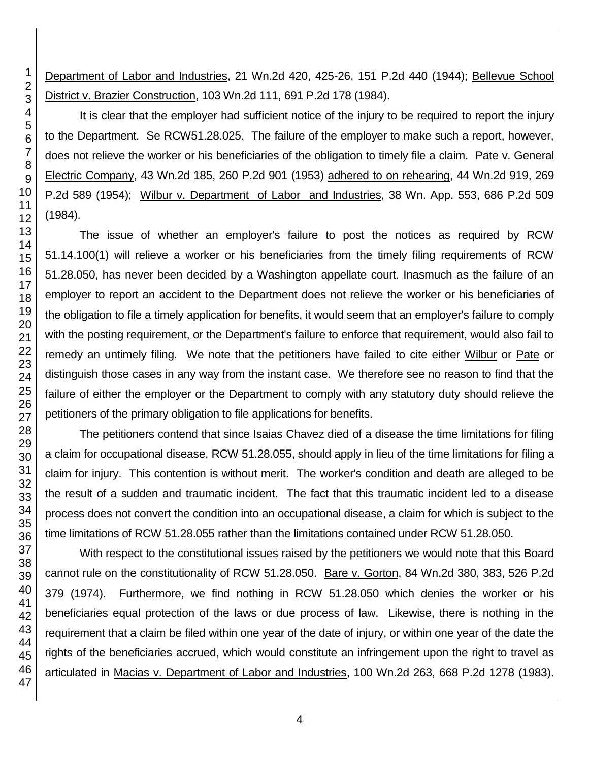Department of Labor and Industries, 21 Wn.2d 420, 425-26, 151 P.2d 440 (1944); Bellevue School District v. Brazier Construction, 103 Wn.2d 111, 691 P.2d 178 (1984).

It is clear that the employer had sufficient notice of the injury to be required to report the injury to the Department. Se RCW51.28.025. The failure of the employer to make such a report, however, does not relieve the worker or his beneficiaries of the obligation to timely file a claim. Pate v. General Electric Company, 43 Wn.2d 185, 260 P.2d 901 (1953) adhered to on rehearing, 44 Wn.2d 919, 269 P.2d 589 (1954); Wilbur v. Department of Labor and Industries, 38 Wn. App. 553, 686 P.2d 509 (1984).

The issue of whether an employer's failure to post the notices as required by RCW 51.14.100(1) will relieve a worker or his beneficiaries from the timely filing requirements of RCW 51.28.050, has never been decided by a Washington appellate court. Inasmuch as the failure of an employer to report an accident to the Department does not relieve the worker or his beneficiaries of the obligation to file a timely application for benefits, it would seem that an employer's failure to comply with the posting requirement, or the Department's failure to enforce that requirement, would also fail to remedy an untimely filing. We note that the petitioners have failed to cite either Wilbur or Pate or distinguish those cases in any way from the instant case. We therefore see no reason to find that the failure of either the employer or the Department to comply with any statutory duty should relieve the petitioners of the primary obligation to file applications for benefits.

The petitioners contend that since Isaias Chavez died of a disease the time limitations for filing a claim for occupational disease, RCW 51.28.055, should apply in lieu of the time limitations for filing a claim for injury. This contention is without merit. The worker's condition and death are alleged to be the result of a sudden and traumatic incident. The fact that this traumatic incident led to a disease process does not convert the condition into an occupational disease, a claim for which is subject to the time limitations of RCW 51.28.055 rather than the limitations contained under RCW 51.28.050.

With respect to the constitutional issues raised by the petitioners we would note that this Board cannot rule on the constitutionality of RCW 51.28.050. Bare v. Gorton, 84 Wn.2d 380, 383, 526 P.2d 379 (1974). Furthermore, we find nothing in RCW 51.28.050 which denies the worker or his beneficiaries equal protection of the laws or due process of law. Likewise, there is nothing in the requirement that a claim be filed within one year of the date of injury, or within one year of the date the rights of the beneficiaries accrued, which would constitute an infringement upon the right to travel as articulated in Macias v. Department of Labor and Industries, 100 Wn.2d 263, 668 P.2d 1278 (1983).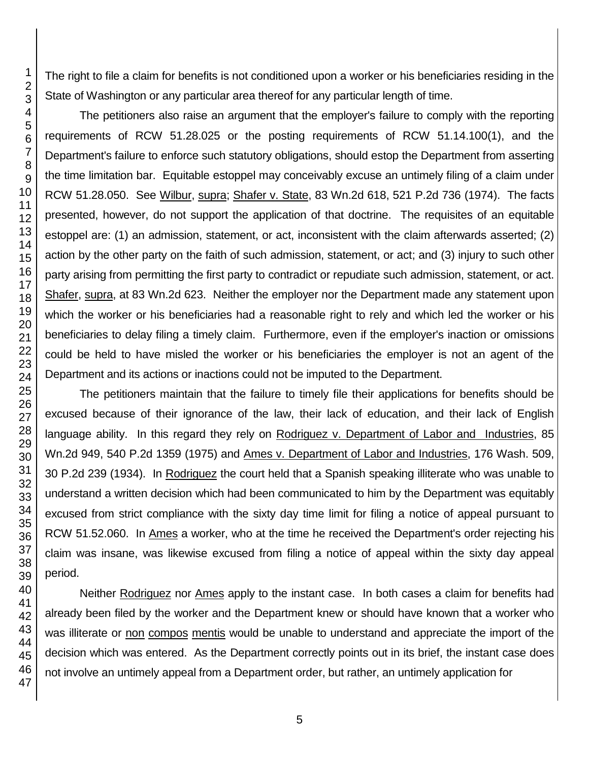The right to file a claim for benefits is not conditioned upon a worker or his beneficiaries residing in the State of Washington or any particular area thereof for any particular length of time.

The petitioners also raise an argument that the employer's failure to comply with the reporting requirements of RCW 51.28.025 or the posting requirements of RCW 51.14.100(1), and the Department's failure to enforce such statutory obligations, should estop the Department from asserting the time limitation bar. Equitable estoppel may conceivably excuse an untimely filing of a claim under RCW 51.28.050. See Wilbur, supra; Shafer v. State, 83 Wn.2d 618, 521 P.2d 736 (1974). The facts presented, however, do not support the application of that doctrine. The requisites of an equitable estoppel are: (1) an admission, statement, or act, inconsistent with the claim afterwards asserted; (2) action by the other party on the faith of such admission, statement, or act; and (3) injury to such other party arising from permitting the first party to contradict or repudiate such admission, statement, or act. Shafer, supra, at 83 Wn.2d 623. Neither the employer nor the Department made any statement upon which the worker or his beneficiaries had a reasonable right to rely and which led the worker or his beneficiaries to delay filing a timely claim. Furthermore, even if the employer's inaction or omissions could be held to have misled the worker or his beneficiaries the employer is not an agent of the Department and its actions or inactions could not be imputed to the Department.

The petitioners maintain that the failure to timely file their applications for benefits should be excused because of their ignorance of the law, their lack of education, and their lack of English language ability. In this regard they rely on Rodriguez v. Department of Labor and Industries, 85 Wn.2d 949, 540 P.2d 1359 (1975) and Ames v. Department of Labor and Industries, 176 Wash. 509, 30 P.2d 239 (1934). In Rodriguez the court held that a Spanish speaking illiterate who was unable to understand a written decision which had been communicated to him by the Department was equitably excused from strict compliance with the sixty day time limit for filing a notice of appeal pursuant to RCW 51.52.060. In Ames a worker, who at the time he received the Department's order rejecting his claim was insane, was likewise excused from filing a notice of appeal within the sixty day appeal period.

Neither Rodriguez nor Ames apply to the instant case. In both cases a claim for benefits had already been filed by the worker and the Department knew or should have known that a worker who was illiterate or non compos mentis would be unable to understand and appreciate the import of the decision which was entered. As the Department correctly points out in its brief, the instant case does not involve an untimely appeal from a Department order, but rather, an untimely application for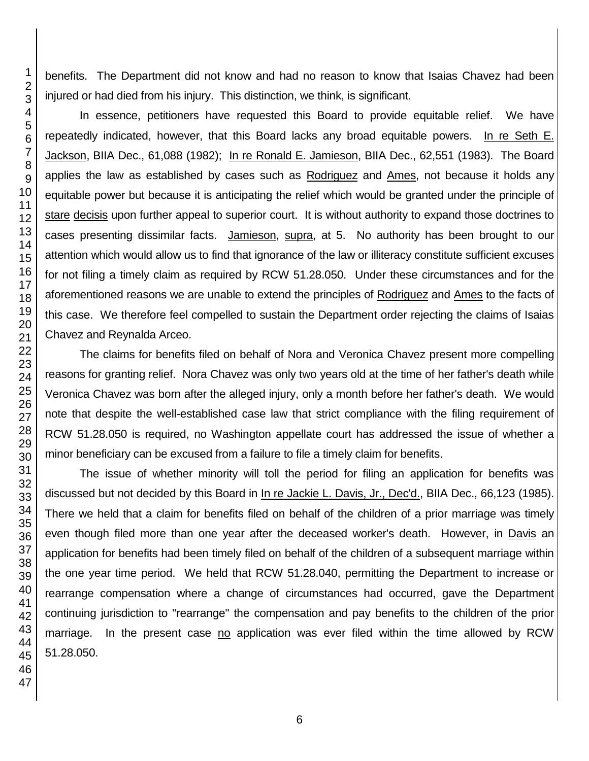benefits. The Department did not know and had no reason to know that Isaias Chavez had been injured or had died from his injury. This distinction, we think, is significant.

In essence, petitioners have requested this Board to provide equitable relief. We have repeatedly indicated, however, that this Board lacks any broad equitable powers. In re Seth E. Jackson, BIIA Dec., 61,088 (1982); In re Ronald E. Jamieson, BIIA Dec., 62,551 (1983). The Board applies the law as established by cases such as Rodriguez and Ames, not because it holds any equitable power but because it is anticipating the relief which would be granted under the principle of stare decisis upon further appeal to superior court. It is without authority to expand those doctrines to cases presenting dissimilar facts. Jamieson, supra, at 5. No authority has been brought to our attention which would allow us to find that ignorance of the law or illiteracy constitute sufficient excuses for not filing a timely claim as required by RCW 51.28.050. Under these circumstances and for the aforementioned reasons we are unable to extend the principles of Rodriguez and Ames to the facts of this case. We therefore feel compelled to sustain the Department order rejecting the claims of Isaias Chavez and Reynalda Arceo.

The claims for benefits filed on behalf of Nora and Veronica Chavez present more compelling reasons for granting relief. Nora Chavez was only two years old at the time of her father's death while Veronica Chavez was born after the alleged injury, only a month before her father's death. We would note that despite the well-established case law that strict compliance with the filing requirement of RCW 51.28.050 is required, no Washington appellate court has addressed the issue of whether a minor beneficiary can be excused from a failure to file a timely claim for benefits.

The issue of whether minority will toll the period for filing an application for benefits was discussed but not decided by this Board in In re Jackie L. Davis, Jr., Dec'd., BIIA Dec., 66,123 (1985). There we held that a claim for benefits filed on behalf of the children of a prior marriage was timely even though filed more than one year after the deceased worker's death. However, in Davis an application for benefits had been timely filed on behalf of the children of a subsequent marriage within the one year time period. We held that RCW 51.28.040, permitting the Department to increase or rearrange compensation where a change of circumstances had occurred, gave the Department continuing jurisdiction to "rearrange" the compensation and pay benefits to the children of the prior marriage. In the present case no application was ever filed within the time allowed by RCW 51.28.050.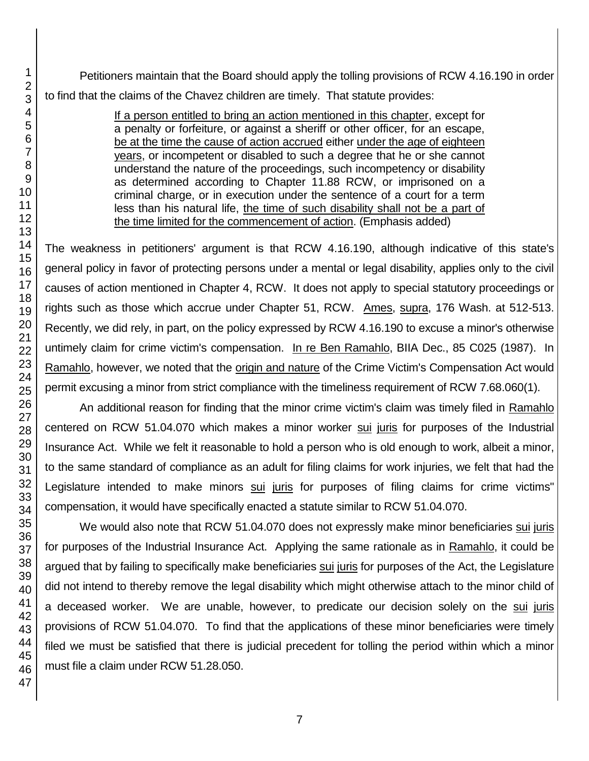Petitioners maintain that the Board should apply the tolling provisions of RCW 4.16.190 in order to find that the claims of the Chavez children are timely. That statute provides:

> If a person entitled to bring an action mentioned in this chapter, except for a penalty or forfeiture, or against a sheriff or other officer, for an escape, be at the time the cause of action accrued either under the age of eighteen years, or incompetent or disabled to such a degree that he or she cannot understand the nature of the proceedings, such incompetency or disability as determined according to Chapter 11.88 RCW, or imprisoned on a criminal charge, or in execution under the sentence of a court for a term less than his natural life, the time of such disability shall not be a part of the time limited for the commencement of action. (Emphasis added)

The weakness in petitioners' argument is that RCW 4.16.190, although indicative of this state's general policy in favor of protecting persons under a mental or legal disability, applies only to the civil causes of action mentioned in Chapter 4, RCW. It does not apply to special statutory proceedings or rights such as those which accrue under Chapter 51, RCW. Ames, supra, 176 Wash. at 512-513. Recently, we did rely, in part, on the policy expressed by RCW 4.16.190 to excuse a minor's otherwise untimely claim for crime victim's compensation. In re Ben Ramahlo, BIIA Dec., 85 C025 (1987). In Ramahlo, however, we noted that the origin and nature of the Crime Victim's Compensation Act would permit excusing a minor from strict compliance with the timeliness requirement of RCW 7.68.060(1).

An additional reason for finding that the minor crime victim's claim was timely filed in Ramahlo centered on RCW 51.04.070 which makes a minor worker sui juris for purposes of the Industrial Insurance Act. While we felt it reasonable to hold a person who is old enough to work, albeit a minor, to the same standard of compliance as an adult for filing claims for work injuries, we felt that had the Legislature intended to make minors sui juris for purposes of filing claims for crime victims" compensation, it would have specifically enacted a statute similar to RCW 51.04.070.

We would also note that RCW 51.04.070 does not expressly make minor beneficiaries sui juris for purposes of the Industrial Insurance Act. Applying the same rationale as in Ramahlo, it could be argued that by failing to specifically make beneficiaries sui juris for purposes of the Act, the Legislature did not intend to thereby remove the legal disability which might otherwise attach to the minor child of a deceased worker. We are unable, however, to predicate our decision solely on the sui juris provisions of RCW 51.04.070. To find that the applications of these minor beneficiaries were timely filed we must be satisfied that there is judicial precedent for tolling the period within which a minor must file a claim under RCW 51.28.050.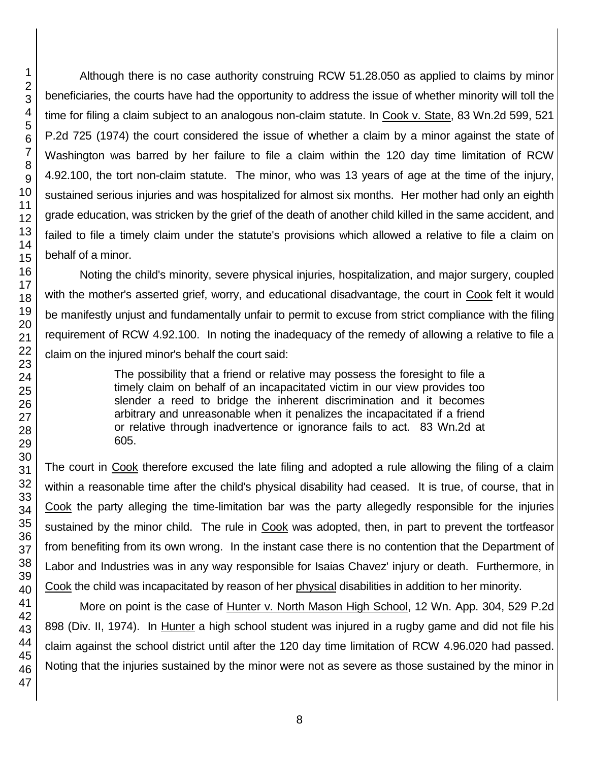Although there is no case authority construing RCW 51.28.050 as applied to claims by minor beneficiaries, the courts have had the opportunity to address the issue of whether minority will toll the time for filing a claim subject to an analogous non-claim statute. In Cook v. State, 83 Wn.2d 599, 521 P.2d 725 (1974) the court considered the issue of whether a claim by a minor against the state of Washington was barred by her failure to file a claim within the 120 day time limitation of RCW 4.92.100, the tort non-claim statute. The minor, who was 13 years of age at the time of the injury, sustained serious injuries and was hospitalized for almost six months. Her mother had only an eighth grade education, was stricken by the grief of the death of another child killed in the same accident, and failed to file a timely claim under the statute's provisions which allowed a relative to file a claim on behalf of a minor.

Noting the child's minority, severe physical injuries, hospitalization, and major surgery, coupled with the mother's asserted grief, worry, and educational disadvantage, the court in Cook felt it would be manifestly unjust and fundamentally unfair to permit to excuse from strict compliance with the filing requirement of RCW 4.92.100. In noting the inadequacy of the remedy of allowing a relative to file a claim on the injured minor's behalf the court said:

> The possibility that a friend or relative may possess the foresight to file a timely claim on behalf of an incapacitated victim in our view provides too slender a reed to bridge the inherent discrimination and it becomes arbitrary and unreasonable when it penalizes the incapacitated if a friend or relative through inadvertence or ignorance fails to act. 83 Wn.2d at 605.

The court in Cook therefore excused the late filing and adopted a rule allowing the filing of a claim within a reasonable time after the child's physical disability had ceased. It is true, of course, that in Cook the party alleging the time-limitation bar was the party allegedly responsible for the injuries sustained by the minor child. The rule in Cook was adopted, then, in part to prevent the tortfeasor from benefiting from its own wrong. In the instant case there is no contention that the Department of Labor and Industries was in any way responsible for Isaias Chavez' injury or death. Furthermore, in Cook the child was incapacitated by reason of her physical disabilities in addition to her minority.

More on point is the case of Hunter v. North Mason High School, 12 Wn. App. 304, 529 P.2d 898 (Div. II, 1974). In Hunter a high school student was injured in a rugby game and did not file his claim against the school district until after the 120 day time limitation of RCW 4.96.020 had passed. Noting that the injuries sustained by the minor were not as severe as those sustained by the minor in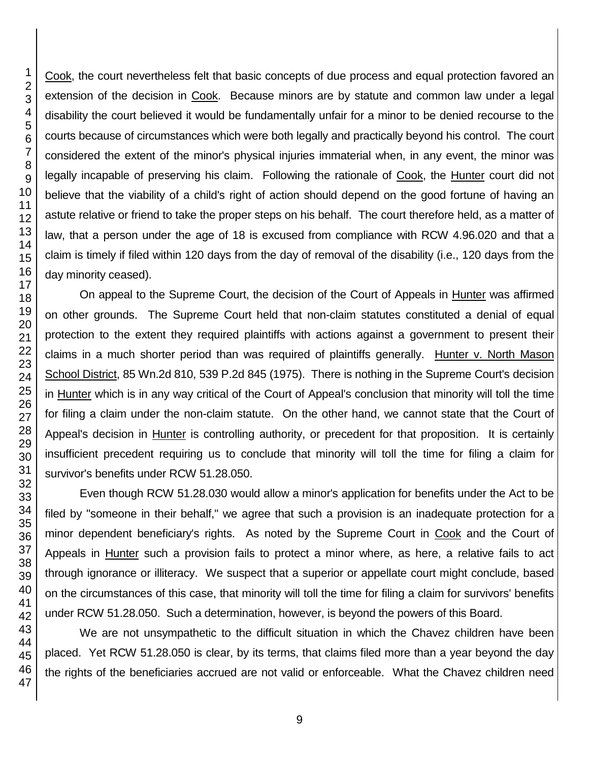Cook, the court nevertheless felt that basic concepts of due process and equal protection favored an extension of the decision in Cook. Because minors are by statute and common law under a legal disability the court believed it would be fundamentally unfair for a minor to be denied recourse to the courts because of circumstances which were both legally and practically beyond his control. The court considered the extent of the minor's physical injuries immaterial when, in any event, the minor was legally incapable of preserving his claim. Following the rationale of Cook, the Hunter court did not believe that the viability of a child's right of action should depend on the good fortune of having an astute relative or friend to take the proper steps on his behalf. The court therefore held, as a matter of law, that a person under the age of 18 is excused from compliance with RCW 4.96.020 and that a claim is timely if filed within 120 days from the day of removal of the disability (i.e., 120 days from the day minority ceased).

On appeal to the Supreme Court, the decision of the Court of Appeals in Hunter was affirmed on other grounds. The Supreme Court held that non-claim statutes constituted a denial of equal protection to the extent they required plaintiffs with actions against a government to present their claims in a much shorter period than was required of plaintiffs generally. Hunter v. North Mason School District, 85 Wn.2d 810, 539 P.2d 845 (1975). There is nothing in the Supreme Court's decision in Hunter which is in any way critical of the Court of Appeal's conclusion that minority will toll the time for filing a claim under the non-claim statute. On the other hand, we cannot state that the Court of Appeal's decision in Hunter is controlling authority, or precedent for that proposition. It is certainly insufficient precedent requiring us to conclude that minority will toll the time for filing a claim for survivor's benefits under RCW 51.28.050.

Even though RCW 51.28.030 would allow a minor's application for benefits under the Act to be filed by "someone in their behalf," we agree that such a provision is an inadequate protection for a minor dependent beneficiary's rights. As noted by the Supreme Court in Cook and the Court of Appeals in Hunter such a provision fails to protect a minor where, as here, a relative fails to act through ignorance or illiteracy. We suspect that a superior or appellate court might conclude, based on the circumstances of this case, that minority will toll the time for filing a claim for survivors' benefits under RCW 51.28.050. Such a determination, however, is beyond the powers of this Board.

We are not unsympathetic to the difficult situation in which the Chavez children have been placed. Yet RCW 51.28.050 is clear, by its terms, that claims filed more than a year beyond the day the rights of the beneficiaries accrued are not valid or enforceable. What the Chavez children need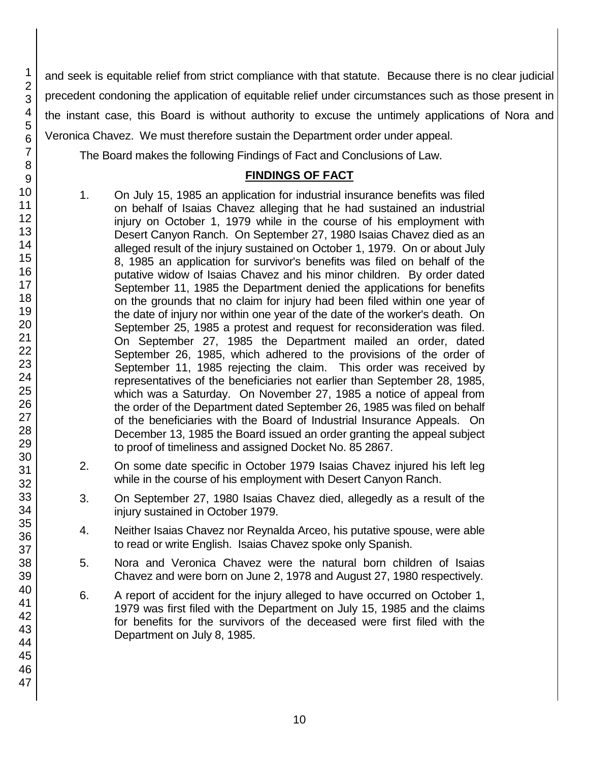and seek is equitable relief from strict compliance with that statute. Because there is no clear judicial precedent condoning the application of equitable relief under circumstances such as those present in the instant case, this Board is without authority to excuse the untimely applications of Nora and Veronica Chavez. We must therefore sustain the Department order under appeal.

The Board makes the following Findings of Fact and Conclusions of Law.

# **FINDINGS OF FACT**

- 1. On July 15, 1985 an application for industrial insurance benefits was filed on behalf of Isaias Chavez alleging that he had sustained an industrial injury on October 1, 1979 while in the course of his employment with Desert Canyon Ranch. On September 27, 1980 Isaias Chavez died as an alleged result of the injury sustained on October 1, 1979. On or about July 8, 1985 an application for survivor's benefits was filed on behalf of the putative widow of Isaias Chavez and his minor children. By order dated September 11, 1985 the Department denied the applications for benefits on the grounds that no claim for injury had been filed within one year of the date of injury nor within one year of the date of the worker's death. On September 25, 1985 a protest and request for reconsideration was filed. On September 27, 1985 the Department mailed an order, dated September 26, 1985, which adhered to the provisions of the order of September 11, 1985 rejecting the claim. This order was received by representatives of the beneficiaries not earlier than September 28, 1985, which was a Saturday. On November 27, 1985 a notice of appeal from the order of the Department dated September 26, 1985 was filed on behalf of the beneficiaries with the Board of Industrial Insurance Appeals. On December 13, 1985 the Board issued an order granting the appeal subject to proof of timeliness and assigned Docket No. 85 2867.
- 2. On some date specific in October 1979 Isaias Chavez injured his left leg while in the course of his employment with Desert Canyon Ranch.
- 3. On September 27, 1980 Isaias Chavez died, allegedly as a result of the injury sustained in October 1979.
- 4. Neither Isaias Chavez nor Reynalda Arceo, his putative spouse, were able to read or write English. Isaias Chavez spoke only Spanish.
- 5. Nora and Veronica Chavez were the natural born children of Isaias Chavez and were born on June 2, 1978 and August 27, 1980 respectively.
- 6. A report of accident for the injury alleged to have occurred on October 1, 1979 was first filed with the Department on July 15, 1985 and the claims for benefits for the survivors of the deceased were first filed with the Department on July 8, 1985.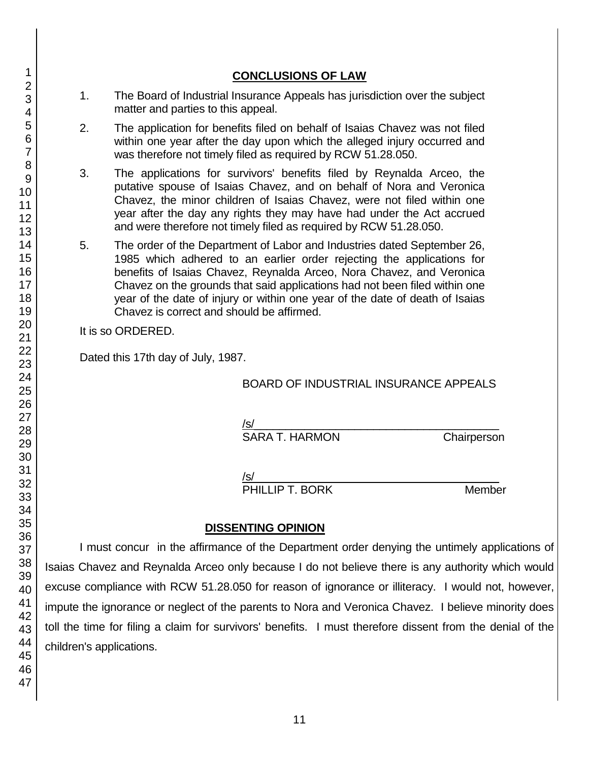# **CONCLUSIONS OF LAW**

- 1. The Board of Industrial Insurance Appeals has jurisdiction over the subject matter and parties to this appeal.
- 2. The application for benefits filed on behalf of Isaias Chavez was not filed within one year after the day upon which the alleged injury occurred and was therefore not timely filed as required by RCW 51.28.050.
- 3. The applications for survivors' benefits filed by Reynalda Arceo, the putative spouse of Isaias Chavez, and on behalf of Nora and Veronica Chavez, the minor children of Isaias Chavez, were not filed within one year after the day any rights they may have had under the Act accrued and were therefore not timely filed as required by RCW 51.28.050.
- 5. The order of the Department of Labor and Industries dated September 26, 1985 which adhered to an earlier order rejecting the applications for benefits of Isaias Chavez, Reynalda Arceo, Nora Chavez, and Veronica Chavez on the grounds that said applications had not been filed within one year of the date of injury or within one year of the date of death of Isaias Chavez is correct and should be affirmed.

It is so ORDERED.

Dated this 17th day of July, 1987.

### BOARD OF INDUSTRIAL INSURANCE APPEALS

/s/  $\,$ SARA T. HARMON Chairperson

/s/  $\,$ 

PHILLIP T. BORK Member

# **DISSENTING OPINION**

I must concur in the affirmance of the Department order denying the untimely applications of Isaias Chavez and Reynalda Arceo only because I do not believe there is any authority which would excuse compliance with RCW 51.28.050 for reason of ignorance or illiteracy. I would not, however, impute the ignorance or neglect of the parents to Nora and Veronica Chavez. I believe minority does toll the time for filing a claim for survivors' benefits. I must therefore dissent from the denial of the children's applications.